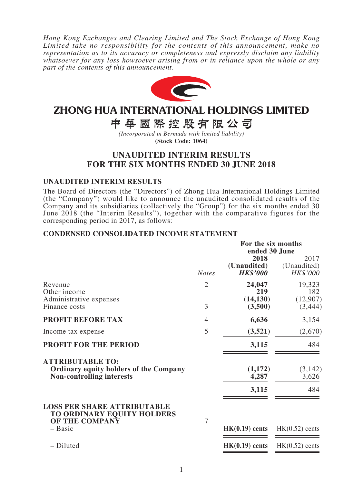*Hong Kong Exchanges and Clearing Limited and The Stock Exchange of Hong Kong Limited take no responsibility for the contents of this announcement, make no representation as to its accuracy or completeness and expressly disclaim any liability whatsoever for any loss howsoever arising from or in reliance upon the whole or any part of the contents of this announcement.*



# ZHONG HUA INTERNATIONAL HOLDINGS LIMITED

中華國際控股有限公司

*(Incorporated in Bermuda with limited liability)* **(Stock Code: 1064)**

# **UNAUDITED INTERIM RESULTS FOR THE SIX MONTHS ENDED 30 JUNE 2018**

### **UNAUDITED INTERIM RESULTS**

The Board of Directors (the "Directors") of Zhong Hua International Holdings Limited (the "Company") would like to announce the unaudited consolidated results of the Company and its subsidiaries (collectively the "Group") for the six months ended 30 June 2018 (the "Interim Results"), together with the comparative figures for the corresponding period in 2017, as follows:

### **CONDENSED CONSOLIDATED INCOME STATEMENT**

|                                                                                                              |                | For the six months<br>ended 30 June    |                                 |  |
|--------------------------------------------------------------------------------------------------------------|----------------|----------------------------------------|---------------------------------|--|
|                                                                                                              | <b>Notes</b>   | 2018<br>(Unaudited)<br><b>HK\$'000</b> | 2017<br>(Unaudited)<br>HK\$'000 |  |
| Revenue<br>Other income<br>Administrative expenses                                                           | $\overline{2}$ | 24,047<br>219<br>(14, 130)             | 19,323<br>182<br>(12,907)       |  |
| Finance costs                                                                                                | 3              | (3,500)                                | (3, 444)                        |  |
| <b>PROFIT BEFORE TAX</b>                                                                                     | 4              | 6,636                                  | 3,154                           |  |
| Income tax expense                                                                                           | 5              | (3,521)                                | (2,670)                         |  |
| <b>PROFIT FOR THE PERIOD</b>                                                                                 |                | 3,115                                  | 484                             |  |
| <b>ATTRIBUTABLE TO:</b><br><b>Ordinary equity holders of the Company</b><br><b>Non-controlling interests</b> |                | (1,172)<br>4,287<br>3,115              | (3, 142)<br>3,626<br>484        |  |
| <b>LOSS PER SHARE ATTRIBUTABLE</b><br>TO ORDINARY EQUITY HOLDERS<br>OF THE COMPANY                           | 7              |                                        |                                 |  |
| $-$ Basic                                                                                                    |                | $HK(0.19)$ cents                       | $HK(0.52)$ cents                |  |
| - Diluted                                                                                                    |                | $HK(0.19)$ cents                       | $HK(0.52)$ cents                |  |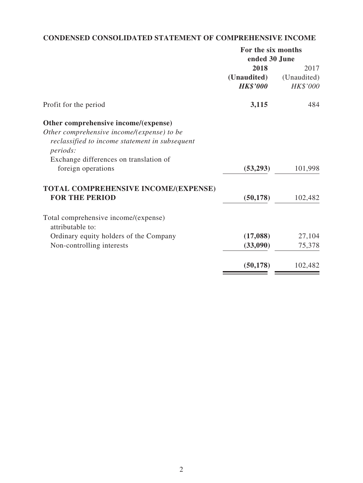# **CONDENSED CONSOLIDATED STATEMENT OF COMPREHENSIVE INCOME**

| ended 30 June<br>(Unaudited)<br>HK\$'000<br>484 |
|-------------------------------------------------|
| 2017                                            |
|                                                 |
|                                                 |
|                                                 |
|                                                 |
|                                                 |
|                                                 |
|                                                 |
|                                                 |
|                                                 |
| (53,293)<br>101,998                             |
|                                                 |
| (50, 178)<br>102,482                            |
|                                                 |
|                                                 |
| (17,088)<br>27,104                              |
| (33,090)<br>75,378                              |
| (50, 178)<br>102,482                            |
|                                                 |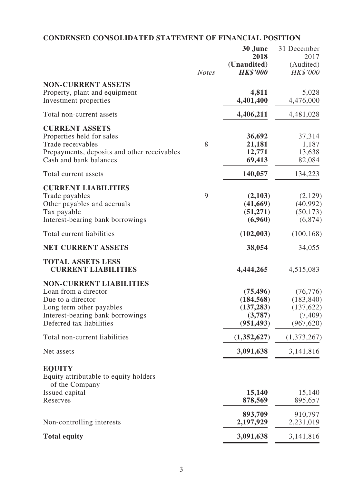# **CONDENSED CONSOLIDATED STATEMENT OF FINANCIAL POSITION**

|                                                                                                                                                                         | <b>Notes</b> | 30 June<br>2018<br>(Unaudited)<br><b>HK\$'000</b>              | 31 December<br>2017<br>(Audited)<br>HK\$'000                    |
|-------------------------------------------------------------------------------------------------------------------------------------------------------------------------|--------------|----------------------------------------------------------------|-----------------------------------------------------------------|
| <b>NON-CURRENT ASSETS</b><br>Property, plant and equipment<br>Investment properties                                                                                     |              | 4,811<br>4,401,400                                             | 5,028<br>4,476,000                                              |
| Total non-current assets                                                                                                                                                |              | 4,406,211                                                      | 4,481,028                                                       |
| <b>CURRENT ASSETS</b><br>Properties held for sales<br>Trade receivables<br>Prepayments, deposits and other receivables<br>Cash and bank balances                        | 8            | 36,692<br>21,181<br>12,771<br>69,413                           | 37,314<br>1,187<br>13,638<br>82,084                             |
| Total current assets                                                                                                                                                    |              | 140,057                                                        | 134,223                                                         |
| <b>CURRENT LIABILITIES</b><br>Trade payables<br>Other payables and accruals<br>Tax payable<br>Interest-bearing bank borrowings                                          | 9            | (2,103)<br>(41,669)<br>(51, 271)<br>(6,960)                    | (2,129)<br>(40,992)<br>(50, 173)<br>(6,874)                     |
| Total current liabilities                                                                                                                                               |              | (102,003)                                                      | (100, 168)                                                      |
| <b>NET CURRENT ASSETS</b>                                                                                                                                               |              | 38,054                                                         | 34,055                                                          |
| <b>TOTAL ASSETS LESS</b><br><b>CURRENT LIABILITIES</b>                                                                                                                  |              | 4,444,265                                                      | 4,515,083                                                       |
| <b>NON-CURRENT LIABILITIES</b><br>Loan from a director<br>Due to a director<br>Long term other payables<br>Interest-bearing bank borrowings<br>Deferred tax liabilities |              | (75, 496)<br>(184, 568)<br>(137, 283)<br>(3,787)<br>(951, 493) | (76, 776)<br>(183, 840)<br>(137, 622)<br>(7, 409)<br>(967, 620) |
| Total non-current liabilities                                                                                                                                           |              | (1,352,627)                                                    | (1,373,267)                                                     |
| Net assets                                                                                                                                                              |              | 3,091,638                                                      | 3,141,816                                                       |
| <b>EQUITY</b><br>Equity attributable to equity holders<br>of the Company                                                                                                |              |                                                                |                                                                 |
| Issued capital<br>Reserves                                                                                                                                              |              | 15,140<br>878,569                                              | 15,140<br>895,657                                               |
| Non-controlling interests                                                                                                                                               |              | 893,709<br>2,197,929                                           | 910,797<br>2,231,019                                            |
| <b>Total equity</b>                                                                                                                                                     |              | 3,091,638                                                      | 3,141,816                                                       |
|                                                                                                                                                                         |              |                                                                |                                                                 |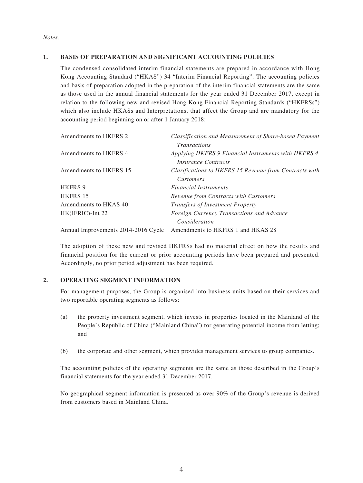### **1. BASIS OF PREPARATION AND SIGNIFICANT ACCOUNTING POLICIES**

The condensed consolidated interim financial statements are prepared in accordance with Hong Kong Accounting Standard ("HKAS") 34 "Interim Financial Reporting". The accounting policies and basis of preparation adopted in the preparation of the interim financial statements are the same as those used in the annual financial statements for the year ended 31 December 2017, except in relation to the following new and revised Hong Kong Financial Reporting Standards ("HKFRSs") which also include HKASs and Interpretations, that affect the Group and are mandatory for the accounting period beginning on or after 1 January 2018:

| Amendments to HKFRS 2               | Classification and Measurement of Share-based Payment<br><i>Transactions</i>      |
|-------------------------------------|-----------------------------------------------------------------------------------|
| Amendments to HKFRS 4               | Applying HKFRS 9 Financial Instruments with HKFRS 4<br><i>Insurance Contracts</i> |
| Amendments to HKFRS 15              | Clarifications to HKFRS 15 Revenue from Contracts with<br><i>Customers</i>        |
| <b>HKFRS 9</b>                      | <b>Financial Instruments</b>                                                      |
| <b>HKFRS 15</b>                     | Revenue from Contracts with Customers                                             |
| Amendments to HKAS 40               | <b>Transfers of Investment Property</b>                                           |
| HK(IFRIC)-Int 22                    | Foreign Currency Transactions and Advance<br>Consideration                        |
| Annual Improvements 2014-2016 Cycle | Amendments to HKFRS 1 and HKAS 28                                                 |

The adoption of these new and revised HKFRSs had no material effect on how the results and financial position for the current or prior accounting periods have been prepared and presented. Accordingly, no prior period adjustment has been required.

#### **2. OPERATING SEGMENT INFORMATION**

For management purposes, the Group is organised into business units based on their services and two reportable operating segments as follows:

- (a) the property investment segment, which invests in properties located in the Mainland of the People's Republic of China ("Mainland China") for generating potential income from letting; and
- (b) the corporate and other segment, which provides management services to group companies.

The accounting policies of the operating segments are the same as those described in the Group's financial statements for the year ended 31 December 2017.

No geographical segment information is presented as over 90% of the Group's revenue is derived from customers based in Mainland China.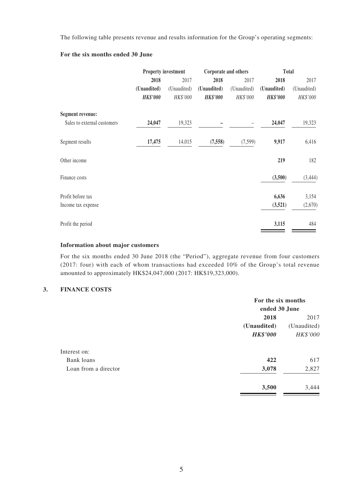The following table presents revenue and results information for the Group's operating segments:

#### **For the six months ended 30 June**

|                             | <b>Property investment</b> |             | Corporate and others |             | <b>Total</b>    |             |
|-----------------------------|----------------------------|-------------|----------------------|-------------|-----------------|-------------|
|                             | 2018                       | 2017        | 2018                 | 2017        | 2018            | 2017        |
|                             | (Unaudited)                | (Unaudited) | (Unaudited)          | (Unaudited) | (Unaudited)     | (Unaudited) |
|                             | <b>HK\$'000</b>            | HK\$'000    | <b>HK\$'000</b>      | HK\$'000    | <b>HK\$'000</b> | HK\$'000    |
| <b>Segment revenue:</b>     |                            |             |                      |             |                 |             |
| Sales to external customers | 24,047                     | 19,323      |                      |             | 24,047          | 19,323      |
| Segment results             | 17,475                     | 14,015      | (7,558)              | (7, 599)    | 9,917           | 6,416       |
| Other income                |                            |             |                      |             | 219             | 182         |
| Finance costs               |                            |             |                      |             | (3,500)         | (3,444)     |
| Profit before tax           |                            |             |                      |             | 6,636           | 3,154       |
| Income tax expense          |                            |             |                      |             | (3,521)         | (2,670)     |
| Profit the period           |                            |             |                      |             | 3,115           | 484         |

#### **Information about major customers**

For the six months ended 30 June 2018 (the "Period"), aggregate revenue from four customers (2017: four) with each of whom transactions had exceeded 10% of the Group's total revenue amounted to approximately HK\$24,047,000 (2017: HK\$19,323,000).

#### **3. FINANCE COSTS**

| For the six months<br>ended 30 June |             |  |
|-------------------------------------|-------------|--|
|                                     |             |  |
| (Unaudited)                         | (Unaudited) |  |
| <b>HK\$'000</b>                     | HK\$'000    |  |
|                                     |             |  |
| 422                                 | 617         |  |
| 3,078                               | 2,827       |  |
| 3,500                               | 3,444       |  |
|                                     |             |  |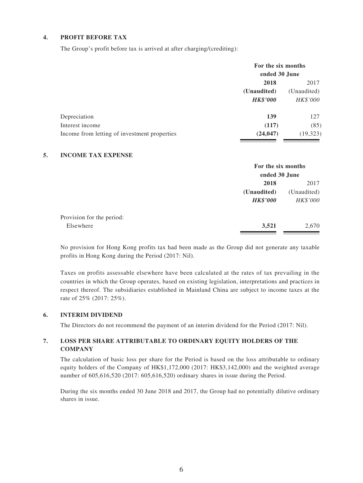### **4. PROFIT BEFORE TAX**

The Group's profit before tax is arrived at after charging/(crediting):

|                                              | For the six months<br>ended 30 June |             |  |
|----------------------------------------------|-------------------------------------|-------------|--|
|                                              | 2018                                |             |  |
|                                              | (Unaudited)                         | (Unaudited) |  |
|                                              | <b>HK\$'000</b>                     | HK\$'000    |  |
| Depreciation                                 | 139                                 | 127         |  |
| Interest income                              | (117)                               | (85)        |  |
| Income from letting of investment properties | (24, 047)                           | (19, 323)   |  |

#### **5. INCOME TAX EXPENSE**

|                           |                 | For the six months<br>ended 30 June |  |  |
|---------------------------|-----------------|-------------------------------------|--|--|
|                           | 2018            | 2017                                |  |  |
|                           | (Unaudited)     | (Unaudited)                         |  |  |
|                           | <b>HK\$'000</b> | HK\$'000                            |  |  |
| Provision for the period: |                 |                                     |  |  |
| Elsewhere                 | 3,521           | 2,670                               |  |  |
|                           |                 |                                     |  |  |

No provision for Hong Kong profits tax had been made as the Group did not generate any taxable profits in Hong Kong during the Period (2017: Nil).

Taxes on profits assessable elsewhere have been calculated at the rates of tax prevailing in the countries in which the Group operates, based on existing legislation, interpretations and practices in respect thereof. The subsidiaries established in Mainland China are subject to income taxes at the rate of 25% (2017: 25%).

#### **6. INTERIM DIVIDEND**

The Directors do not recommend the payment of an interim dividend for the Period (2017: Nil).

#### **7. LOSS PER SHARE ATTRIBUTABLE TO ORDINARY EQUITY HOLDERS OF THE COMPANY**

The calculation of basic loss per share for the Period is based on the loss attributable to ordinary equity holders of the Company of HK\$1,172,000 (2017: HK\$3,142,000) and the weighted average number of 605,616,520 (2017: 605,616,520) ordinary shares in issue during the Period.

During the six months ended 30 June 2018 and 2017, the Group had no potentially dilutive ordinary shares in issue.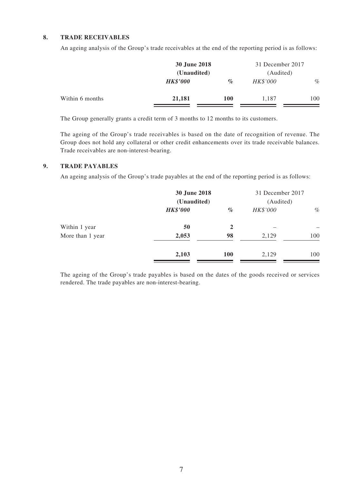#### **8. TRADE RECEIVABLES**

An ageing analysis of the Group's trade receivables at the end of the reporting period is as follows:

|                 | 30 June 2018<br>(Unaudited) |            | 31 December 2017<br>(Audited) |      |
|-----------------|-----------------------------|------------|-------------------------------|------|
|                 |                             |            |                               |      |
|                 | <b>HK\$'000</b>             | $\%$       | HK\$'000                      | $\%$ |
| Within 6 months | 21,181                      | <b>100</b> | 1.187                         | 100  |

The Group generally grants a credit term of 3 months to 12 months to its customers.

The ageing of the Group's trade receivables is based on the date of recognition of revenue. The Group does not hold any collateral or other credit enhancements over its trade receivable balances. Trade receivables are non-interest-bearing.

#### **9. TRADE PAYABLES**

An ageing analysis of the Group's trade payables at the end of the reporting period is as follows:

|                  | 30 June 2018<br>(Unaudited) |            | 31 December 2017<br>(Audited) |      |
|------------------|-----------------------------|------------|-------------------------------|------|
|                  | <b>HK\$'000</b>             | $\%$       | HK\$'000                      | $\%$ |
| Within 1 year    | 50                          | 2          |                               |      |
| More than 1 year | 2,053                       | 98         | 2,129                         | 100  |
|                  | 2,103                       | <b>100</b> | 2,129                         | 100  |

The ageing of the Group's trade payables is based on the dates of the goods received or services rendered. The trade payables are non-interest-bearing.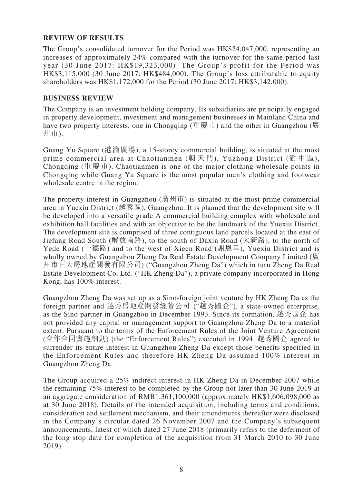### **REVIEW OF RESULTS**

The Group's consolidated turnover for the Period was HK\$24,047,000, representing an increases of approximately 24% compared with the turnover for the same period last year (30 June 2017: HK\$19,323,000). The Group's profit for the Period was HK\$3,115,000 (30 June 2017: HK\$484,000). The Group's loss attributable to equity shareholders was HK\$1,172,000 for the Period (30 June 2017: HK\$3,142,000).

### **BUSINESS REVIEW**

The Company is an investment holding company. Its subsidiaries are principally engaged in property development, investment and management businesses in Mainland China and have two property interests, one in Chongqing (重慶市) and the other in Guangzhou (廣 州市).

Guang Yu Square (港渝廣場), a 15-storey commercial building, is situated at the most prime commercial area at Chaotianmen (朝天門), Yuzhong District (渝中區), Chongqing (重慶市). Chaotianmen is one of the major clothing wholesale points in Chongqing while Guang Yu Square is the most popular men's clothing and footwear wholesale centre in the region.

The property interest in Guangzhou (廣州市) is situated at the most prime commercial area in Yuexiu District (越秀區), Guangzhou. It is planned that the development site will be developed into a versatile grade A commercial building complex with wholesale and exhibition hall facilities and with an objective to be the landmark of the Yuexiu District. The development site is comprised of three contiguous land parcels located at the east of Jiefang Road South (解放南路), to the south of Daxin Road (大新路), to the north of Yede Road (一德路) and to the west of Xieen Road (謝恩里), Yuexiu District and is wholly owned by Guangzhou Zheng Da Real Estate Development Company Limited (廣 州市正大房地產開發有限公司) ("Guangzhou Zheng Da") which in turn Zheng Da Real Estate Development Co. Ltd. ("HK Zheng Da"), a private company incorporated in Hong Kong, has 100% interest.

Guangzhou Zheng Da was set up as a Sino-foreign joint venture by HK Zheng Da as the foreign partner and 越秀房地產開發經營公司 ("越秀國企"), a state-owned enterprise, as the Sino partner in Guangzhou in December 1993. Since its formation, 越秀國企 has not provided any capital or management support to Guangzhou Zheng Da to a material extent. Pursuant to the terms of the Enforcement Rules of the Joint Venture Agreement (合作合同實施細則) (the "Enforcement Rules") executed in 1994, 越秀國企 agreed to surrender its entire interest in Guangzhou Zheng Da except those benefits specified in the Enforcement Rules and therefore HK Zheng Da assumed 100% interest in Guangzhou Zheng Da.

The Group acquired a 25% indirect interest in HK Zheng Da in December 2007 while the remaining 75% interest to be completed by the Group not later than 30 June 2019 at an aggregate consideration of RMB1,361,100,000 (approximately HK\$1,606,098,000 as at 30 June 2018). Details of the intended acquisition, including terms and conditions, consideration and settlement mechanism, and their amendments thereafter were disclosed in the Company's circular dated 26 November 2007 and the Company's subsequent announcements, latest of which dated 27 June 2018 (primarily refers to the deferment of the long stop date for completion of the acquisition from 31 March 2010 to 30 June 2019).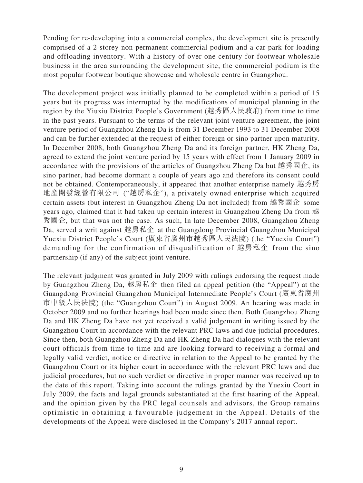Pending for re-developing into a commercial complex, the development site is presently comprised of a 2-storey non-permanent commercial podium and a car park for loading and offloading inventory. With a history of over one century for footwear wholesale business in the area surrounding the development site, the commercial podium is the most popular footwear boutique showcase and wholesale centre in Guangzhou.

The development project was initially planned to be completed within a period of 15 years but its progress was interrupted by the modifications of municipal planning in the region by the Yiuxiu District People's Government (越秀區人民政府) from time to time in the past years. Pursuant to the terms of the relevant joint venture agreement, the joint venture period of Guangzhou Zheng Da is from 31 December 1993 to 31 December 2008 and can be further extended at the request of either foreign or sino partner upon maturity. In December 2008, both Guangzhou Zheng Da and its foreign partner, HK Zheng Da, agreed to extend the joint venture period by 15 years with effect from 1 January 2009 in accordance with the provisions of the articles of Guangzhou Zheng Da but 越秀國企, its sino partner, had become dormant a couple of years ago and therefore its consent could not be obtained. Contemporaneously, it appeared that another enterprise namely 越秀房 地產開發經營有限公司 ("越房私企"), a privately owned enterprise which acquired certain assets (but interest in Guangzhou Zheng Da not included) from 越秀國企 some years ago, claimed that it had taken up certain interest in Guangzhou Zheng Da from 越 秀國企, but that was not the case. As such, In late December 2008, Guangzhou Zheng Da, served a writ against 越房私企 at the Guangdong Provincial Guangzhou Municipal Yuexiu District People's Court (廣東省廣州市越秀區人民法院) (the "Yuexiu Court") demanding for the confirmation of disqualification of 越房私企 from the sino partnership (if any) of the subject joint venture.

The relevant judgment was granted in July 2009 with rulings endorsing the request made by Guangzhou Zheng Da, 越房私企 then filed an appeal petition (the "Appeal") at the Guangdong Provincial Guangzhou Municipal Intermediate People's Court (廣東省廣州 市中級人民法院) (the "Guangzhou Court") in August 2009. An hearing was made in October 2009 and no further hearings had been made since then. Both Guangzhou Zheng Da and HK Zheng Da have not yet received a valid judgement in writing issued by the Guangzhou Court in accordance with the relevant PRC laws and due judicial procedures. Since then, both Guangzhou Zheng Da and HK Zheng Da had dialogues with the relevant court officials from time to time and are looking forward to receiving a formal and legally valid verdict, notice or directive in relation to the Appeal to be granted by the Guangzhou Court or its higher court in accordance with the relevant PRC laws and due judicial procedures, but no such verdict or directive in proper manner was received up to the date of this report. Taking into account the rulings granted by the Yuexiu Court in July 2009, the facts and legal grounds substantiated at the first hearing of the Appeal, and the opinion given by the PRC legal counsels and advisors, the Group remains optimistic in obtaining a favourable judgement in the Appeal. Details of the developments of the Appeal were disclosed in the Company's 2017 annual report.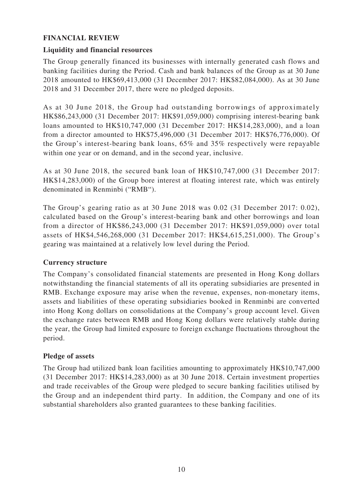### **FINANCIAL REVIEW**

### **Liquidity and financial resources**

The Group generally financed its businesses with internally generated cash flows and banking facilities during the Period. Cash and bank balances of the Group as at 30 June 2018 amounted to HK\$69,413,000 (31 December 2017: HK\$82,084,000). As at 30 June 2018 and 31 December 2017, there were no pledged deposits.

As at 30 June 2018, the Group had outstanding borrowings of approximately HK\$86,243,000 (31 December 2017: HK\$91,059,000) comprising interest-bearing bank loans amounted to HK\$10,747,000 (31 December 2017: HK\$14,283,000), and a loan from a director amounted to HK\$75,496,000 (31 December 2017: HK\$76,776,000). Of the Group's interest-bearing bank loans, 65% and 35% respectively were repayable within one year or on demand, and in the second year, inclusive.

As at 30 June 2018, the secured bank loan of HK\$10,747,000 (31 December 2017: HK\$14,283,000) of the Group bore interest at floating interest rate, which was entirely denominated in Renminbi ("RMB").

The Group's gearing ratio as at 30 June 2018 was 0.02 (31 December 2017: 0.02), calculated based on the Group's interest-bearing bank and other borrowings and loan from a director of HK\$86,243,000 (31 December 2017: HK\$91,059,000) over total assets of HK\$4,546,268,000 (31 December 2017: HK\$4,615,251,000). The Group's gearing was maintained at a relatively low level during the Period.

### **Currency structure**

The Company's consolidated financial statements are presented in Hong Kong dollars notwithstanding the financial statements of all its operating subsidiaries are presented in RMB. Exchange exposure may arise when the revenue, expenses, non-monetary items, assets and liabilities of these operating subsidiaries booked in Renminbi are converted into Hong Kong dollars on consolidations at the Company's group account level. Given the exchange rates between RMB and Hong Kong dollars were relatively stable during the year, the Group had limited exposure to foreign exchange fluctuations throughout the period.

### **Pledge of assets**

The Group had utilized bank loan facilities amounting to approximately HK\$10,747,000 (31 December 2017: HK\$14,283,000) as at 30 June 2018. Certain investment properties and trade receivables of the Group were pledged to secure banking facilities utilised by the Group and an independent third party. In addition, the Company and one of its substantial shareholders also granted guarantees to these banking facilities.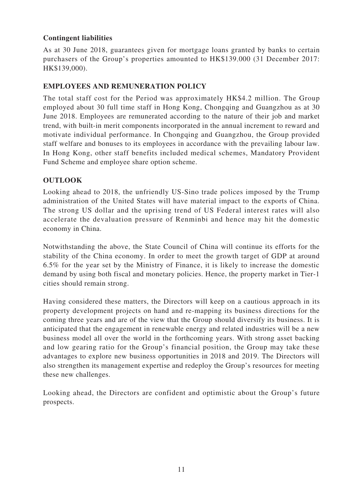# **Contingent liabilities**

As at 30 June 2018, guarantees given for mortgage loans granted by banks to certain purchasers of the Group's properties amounted to HK\$139,000 (31 December 2017: HK\$139,000).

### **EMPLOYEES AND REMUNERATION POLICY**

The total staff cost for the Period was approximately HK\$4.2 million. The Group employed about 30 full time staff in Hong Kong, Chongqing and Guangzhou as at 30 June 2018. Employees are remunerated according to the nature of their job and market trend, with built-in merit components incorporated in the annual increment to reward and motivate individual performance. In Chongqing and Guangzhou, the Group provided staff welfare and bonuses to its employees in accordance with the prevailing labour law. In Hong Kong, other staff benefits included medical schemes, Mandatory Provident Fund Scheme and employee share option scheme.

### **OUTLOOK**

Looking ahead to 2018, the unfriendly US-Sino trade polices imposed by the Trump administration of the United States will have material impact to the exports of China. The strong US dollar and the uprising trend of US Federal interest rates will also accelerate the devaluation pressure of Renminbi and hence may hit the domestic economy in China.

Notwithstanding the above, the State Council of China will continue its efforts for the stability of the China economy. In order to meet the growth target of GDP at around 6.5% for the year set by the Ministry of Finance, it is likely to increase the domestic demand by using both fiscal and monetary policies. Hence, the property market in Tier-1 cities should remain strong.

Having considered these matters, the Directors will keep on a cautious approach in its property development projects on hand and re-mapping its business directions for the coming three years and are of the view that the Group should diversify its business. It is anticipated that the engagement in renewable energy and related industries will be a new business model all over the world in the forthcoming years. With strong asset backing and low gearing ratio for the Group's financial position, the Group may take these advantages to explore new business opportunities in 2018 and 2019. The Directors will also strengthen its management expertise and redeploy the Group's resources for meeting these new challenges.

Looking ahead, the Directors are confident and optimistic about the Group's future prospects.